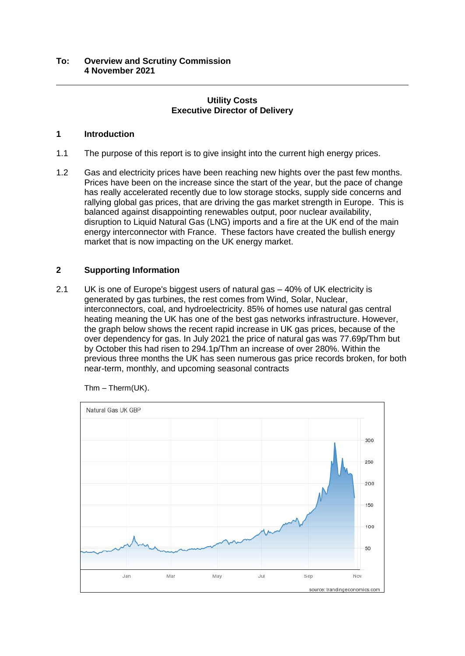# **Utility Costs Executive Director of Delivery**

# **1 Introduction**

- 1.1 The purpose of this report is to give insight into the current high energy prices.
- 1.2 Gas and electricity prices have been reaching new hights over the past few months. Prices have been on the increase since the start of the year, but the pace of change has really accelerated recently due to low storage stocks, supply side concerns and rallying global gas prices, that are driving the gas market strength in Europe. This is balanced against disappointing renewables output, poor nuclear availability, disruption to Liquid Natural Gas (LNG) imports and a fire at the UK end of the main energy interconnector with France. These factors have created the bullish energy market that is now impacting on the UK energy market.

# **2 Supporting Information**

2.1 UK is one of Europe's biggest users of natural gas – 40% of UK electricity is generated by gas turbines, the rest comes from Wind, Solar, Nuclear, interconnectors, coal, and hydroelectricity. 85% of homes use natural gas central heating meaning the UK has one of the best gas networks infrastructure. However, the graph below shows the recent rapid increase in UK gas prices, because of the over dependency for gas. In July 2021 the price of natural gas was 77.69p/Thm but by October this had risen to 294.1p/Thm an increase of over 280%. Within the previous three months the UK has seen numerous gas price records broken, for both near-term, monthly, and upcoming seasonal contracts



Thm – Therm(UK).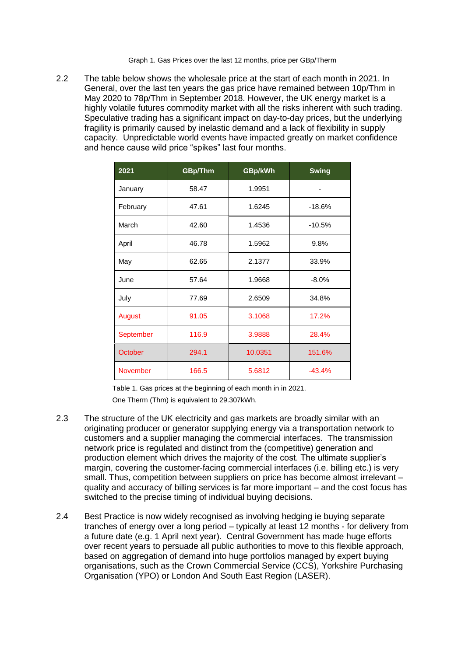Graph 1. Gas Prices over the last 12 months, price per GBp/Therm

2.2 The table below shows the wholesale price at the start of each month in 2021. In General, over the last ten years the gas price have remained between 10p/Thm in May 2020 to 78p/Thm in September 2018. However, the UK energy market is a highly volatile futures commodity market with all the risks inherent with such trading. Speculative trading has a significant impact on day-to-day prices, but the underlying fragility is primarily caused by inelastic demand and a lack of flexibility in supply capacity. Unpredictable world events have impacted greatly on market confidence and hence cause wild price "spikes" last four months.

| 2021             | GBp/Thm | GBp/kWh | <b>Swing</b> |  |  |  |
|------------------|---------|---------|--------------|--|--|--|
| January          | 58.47   | 1.9951  |              |  |  |  |
| February         | 47.61   | 1.6245  | $-18.6%$     |  |  |  |
| March            | 42.60   | 1.4536  | $-10.5%$     |  |  |  |
| April            | 46.78   | 1.5962  | 9.8%         |  |  |  |
| May              | 62.65   | 2.1377  | 33.9%        |  |  |  |
| June             | 57.64   | 1.9668  | $-8.0%$      |  |  |  |
| July             | 77.69   | 2.6509  | 34.8%        |  |  |  |
| August           | 91.05   | 3.1068  | 17.2%        |  |  |  |
| <b>September</b> | 116.9   | 3.9888  | 28.4%        |  |  |  |
| October          | 294.1   | 10.0351 | 151.6%       |  |  |  |
| <b>November</b>  | 166.5   | 5.6812  | $-43.4%$     |  |  |  |

Table 1. Gas prices at the beginning of each month in in 2021.

One Therm (Thm) is equivalent to 29.307kWh.

- 2.3 The structure of the UK electricity and gas markets are broadly similar with an originating producer or generator supplying energy via a transportation network to customers and a supplier managing the commercial interfaces. The transmission network price is regulated and distinct from the (competitive) generation and production element which drives the majority of the cost. The ultimate supplier's margin, covering the customer-facing commercial interfaces (i.e. billing etc.) is very small. Thus, competition between suppliers on price has become almost irrelevant – quality and accuracy of billing services is far more important – and the cost focus has switched to the precise timing of individual buying decisions.
- 2.4 Best Practice is now widely recognised as involving hedging ie buying separate tranches of energy over a long period – typically at least 12 months - for delivery from a future date (e.g. 1 April next year). Central Government has made huge efforts over recent years to persuade all public authorities to move to this flexible approach, based on aggregation of demand into huge portfolios managed by expert buying organisations, such as the Crown Commercial Service (CCS), Yorkshire Purchasing Organisation (YPO) or London And South East Region (LASER).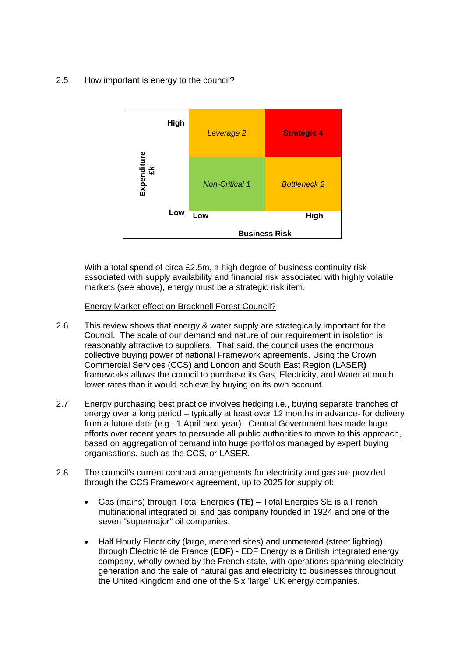### 2.5 How important is energy to the council?



With a total spend of circa £2.5m, a high degree of business continuity risk associated with supply availability and financial risk associated with highly volatile markets (see above), energy must be a strategic risk item.

#### Energy Market effect on Bracknell Forest Council?

- 2.6 This review shows that energy & water supply are strategically important for the Council. The scale of our demand and nature of our requirement in isolation is reasonably attractive to suppliers. That said, the council uses the enormous collective buying power of national Framework agreements. Using the Crown Commercial Services (CCS**)** and London and South East Region (LASER**)** frameworks allows the council to purchase its Gas, Electricity, and Water at much lower rates than it would achieve by buying on its own account.
- 2.7 Energy purchasing best practice involves hedging i.e., buying separate tranches of energy over a long period – typically at least over 12 months in advance- for delivery from a future date (e.g., 1 April next year). Central Government has made huge efforts over recent years to persuade all public authorities to move to this approach, based on aggregation of demand into huge portfolios managed by expert buying organisations, such as the CCS, or LASER.
- 2.8 The council's current contract arrangements for electricity and gas are provided through the CCS Framework agreement, up to 2025 for supply of:
	- Gas (mains) through Total Energies **(TE) –** Total Energies SE is a French multinational integrated oil and gas company founded in 1924 and one of the seven "supermajor" oil companies.
	- Half Hourly Electricity (large, metered sites) and unmetered (street lighting) through Électricité de France (**EDF) -** EDF Energy is a British integrated energy company, wholly owned by the French state, with operations spanning electricity generation and the sale of natural gas and electricity to businesses throughout the United Kingdom and one of the Six 'large' UK energy companies.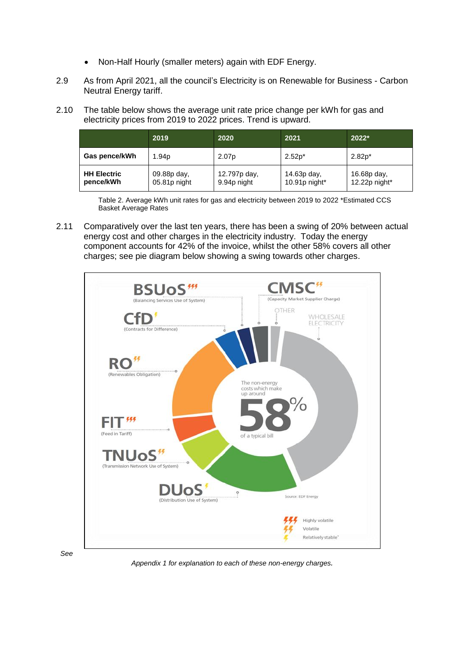- Non-Half Hourly (smaller meters) again with EDF Energy.
- 2.9 As from April 2021, all the council's Electricity is on Renewable for Business Carbon Neutral Energy tariff.
- 2.10 The table below shows the average unit rate price change per kWh for gas and electricity prices from 2019 to 2022 prices. Trend is upward.

|                                 | 2019                        | 2020                        | 2021                            | $2022*$                         |
|---------------------------------|-----------------------------|-----------------------------|---------------------------------|---------------------------------|
| Gas pence/kWh                   | 1.94 <sub>p</sub>           | 2.07 <sub>p</sub>           | $2.52p*$                        | $2.82p*$                        |
| <b>HH Electric</b><br>pence/kWh | 09.88p day,<br>05.81p night | 12.797p day,<br>9.94p night | 14.63p day,<br>10.91 $p$ night* | 16.68p day,<br>12.22p night $*$ |

Table 2. Average kWh unit rates for gas and electricity between 2019 to 2022 \*Estimated CCS Basket Average Rates

2.11 Comparatively over the last ten years, there has been a swing of 20% between actual energy cost and other charges in the electricity industry. Today the energy component accounts for 42% of the invoice, whilst the other 58% covers all other charges; see pie diagram below showing a swing towards other charges.



*Appendix 1 for explanation to each of these non-energy charges.*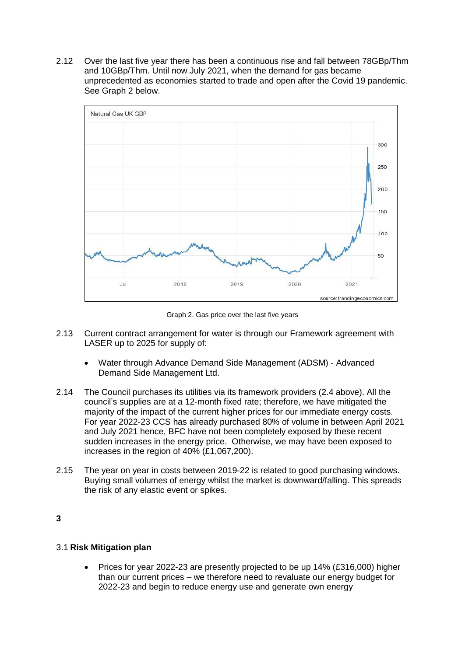2.12 Over the last five year there has been a continuous rise and fall between 78GBp/Thm and 10GBp/Thm. Until now July 2021, when the demand for gas became unprecedented as economies started to trade and open after the Covid 19 pandemic. See Graph 2 below.



Graph 2. Gas price over the last five years

- 2.13 Current contract arrangement for water is through our Framework agreement with LASER up to 2025 for supply of:
	- Water through Advance Demand Side Management (ADSM) Advanced Demand Side Management Ltd.
- 2.14 The Council purchases its utilities via its framework providers (2.4 above). All the council's supplies are at a 12-month fixed rate; therefore, we have mitigated the majority of the impact of the current higher prices for our immediate energy costs. For year 2022-23 CCS has already purchased 80% of volume in between April 2021 and July 2021 hence, BFC have not been completely exposed by these recent sudden increases in the energy price. Otherwise, we may have been exposed to increases in the region of 40% (£1,067,200).
- 2.15 The year on year in costs between 2019-22 is related to good purchasing windows. Buying small volumes of energy whilst the market is downward/falling. This spreads the risk of any elastic event or spikes.

**3**

#### 3.1 **Risk Mitigation plan**

 Prices for year 2022-23 are presently projected to be up 14% (£316,000) higher than our current prices – we therefore need to revaluate our energy budget for 2022-23 and begin to reduce energy use and generate own energy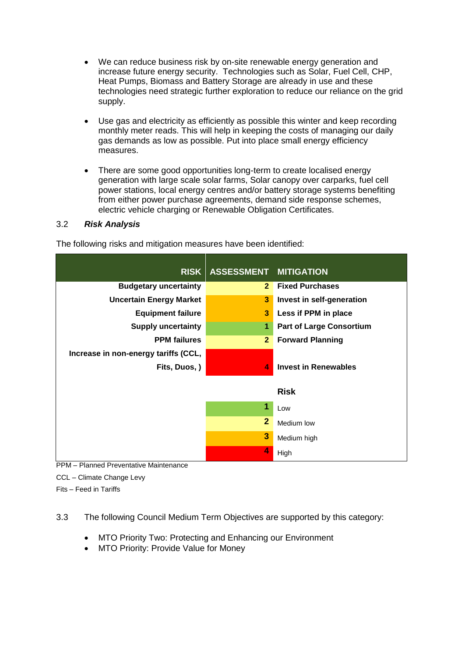- We can reduce business risk by on-site renewable energy generation and increase future energy security. Technologies such as Solar, Fuel Cell, CHP, Heat Pumps, Biomass and Battery Storage are already in use and these technologies need strategic further exploration to reduce our reliance on the grid supply.
- Use gas and electricity as efficiently as possible this winter and keep recording monthly meter reads. This will help in keeping the costs of managing our daily gas demands as low as possible. Put into place small energy efficiency measures.
- There are some good opportunities long-term to create localised energy generation with large scale solar farms, Solar canopy over carparks, fuel cell power stations, local energy centres and/or battery storage systems benefiting from either power purchase agreements, demand side response schemes, electric vehicle charging or Renewable Obligation Certificates.

# 3.2 *Risk Analysis*

|                                      | RISK ASSESSMENT MITIGATION |                                 |
|--------------------------------------|----------------------------|---------------------------------|
| <b>Budgetary uncertainty</b>         | $\mathbf{2}$               | <b>Fixed Purchases</b>          |
| <b>Uncertain Energy Market</b>       | 3                          | Invest in self-generation       |
| <b>Equipment failure</b>             | 3                          | Less if PPM in place            |
| <b>Supply uncertainty</b>            | 1                          | <b>Part of Large Consortium</b> |
| <b>PPM</b> failures                  | 2 <sup>1</sup>             | <b>Forward Planning</b>         |
| Increase in non-energy tariffs (CCL, |                            |                                 |
| Fits, Duos, )                        | $\blacktriangle$           | <b>Invest in Renewables</b>     |
|                                      |                            | <b>Risk</b>                     |
|                                      | 1                          | Low                             |
|                                      | $\mathbf{2}$               | Medium low                      |
|                                      | 3                          | Medium high                     |
|                                      | $\overline{\mathbf{4}}$    | High                            |

The following risks and mitigation measures have been identified:

PPM – Planned Preventative Maintenance

CCL – Climate Change Levy

Fits – Feed in Tariffs

3.3 The following Council Medium Term Objectives are supported by this category:

- MTO Priority Two: Protecting and Enhancing our Environment
- MTO Priority: Provide Value for Money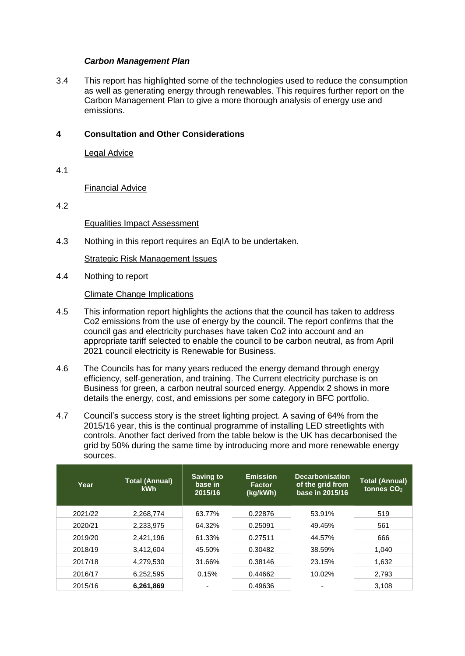#### *Carbon Management Plan*

3.4 This report has highlighted some of the technologies used to reduce the consumption as well as generating energy through renewables. This requires further report on the Carbon Management Plan to give a more thorough analysis of energy use and emissions.

#### **4 Consultation and Other Considerations**

Legal Advice

4.1

Financial Advice

4.2

Equalities Impact Assessment

4.3 Nothing in this report requires an EqIA to be undertaken.

Strategic Risk Management Issues

4.4 Nothing to report

Climate Change Implications

- 4.5 This information report highlights the actions that the council has taken to address Co2 emissions from the use of energy by the council. The report confirms that the council gas and electricity purchases have taken Co2 into account and an appropriate tariff selected to enable the council to be carbon neutral, as from April 2021 council electricity is Renewable for Business.
- 4.6 The Councils has for many years reduced the energy demand through energy efficiency, self-generation, and training. The Current electricity purchase is on Business for green, a carbon neutral sourced energy. Appendix 2 shows in more details the energy, cost, and emissions per some category in BFC portfolio.
- 4.7 Council's success story is the street lighting project. A saving of 64% from the 2015/16 year, this is the continual programme of installing LED streetlights with controls. Another fact derived from the table below is the UK has decarbonised the grid by 50% during the same time by introducing more and more renewable energy sources.

| Year    | <b>Total (Annual)</b><br><b>kWh</b> | <b>Saving to</b><br>base in<br>2015/16 | <b>Emission</b><br><b>Factor</b><br>(kg/kWh) | <b>Decarbonisation</b><br>of the grid from<br>base in 2015/16 | <b>Total (Annual)</b><br>tonnes CO <sub>2</sub> |
|---------|-------------------------------------|----------------------------------------|----------------------------------------------|---------------------------------------------------------------|-------------------------------------------------|
| 2021/22 | 2.268.774                           | 63.77%                                 | 0.22876                                      | 53.91%                                                        | 519                                             |
| 2020/21 | 2.233.975                           | 64.32%                                 | 0.25091                                      | 49.45%                                                        | 561                                             |
| 2019/20 | 2,421,196                           | 61.33%                                 | 0.27511                                      | 44.57%                                                        | 666                                             |
| 2018/19 | 3,412,604                           | 45.50%                                 | 0.30482                                      | 38.59%                                                        | 1.040                                           |
| 2017/18 | 4.279.530                           | 31.66%                                 | 0.38146                                      | 23.15%                                                        | 1.632                                           |
| 2016/17 | 6,252,595                           | 0.15%                                  | 0.44662                                      | 10.02%                                                        | 2,793                                           |
| 2015/16 | 6,261,869                           |                                        | 0.49636                                      |                                                               | 3,108                                           |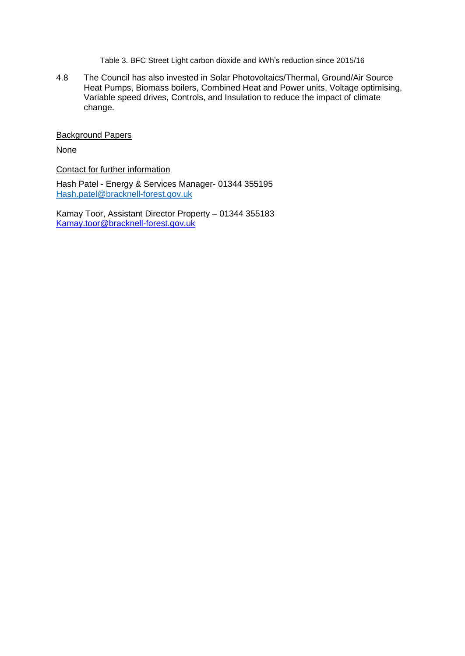Table 3. BFC Street Light carbon dioxide and kWh's reduction since 2015/16

4.8 The Council has also invested in Solar Photovoltaics/Thermal, Ground/Air Source Heat Pumps, Biomass boilers, Combined Heat and Power units, Voltage optimising, Variable speed drives, Controls, and Insulation to reduce the impact of climate change.

Background Papers

None

Contact for further information

Hash Patel - Energy & Services Manager- 01344 355195 [Hash.patel@bracknell-forest.gov.uk](mailto:Hash.patel@bracknell-forest.gov.uk)

Kamay Toor, Assistant Director Property – 01344 355183 [Kamay.toor@bracknell-forest.gov.uk](mailto:Kamay.toor@bracknell-forest.gov.uk)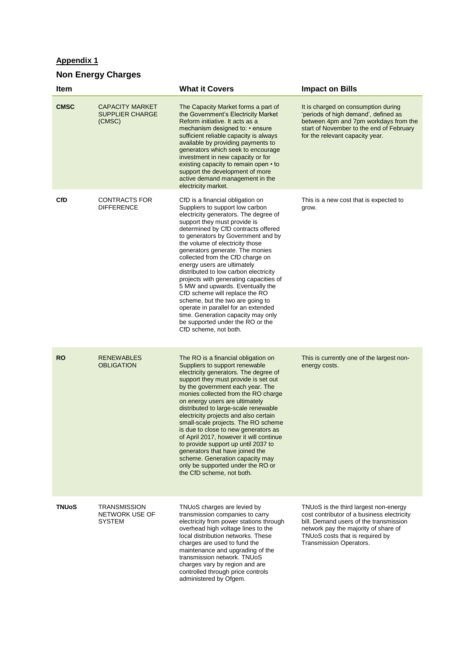# **Appendix 1**

# **Non Energy Charges**

| Item         |                                                            | <b>What it Covers</b>                                                                                                                                                                                                                                                                                                                                                                                                                                                                                                                                                                                                                                                                                     | <b>Impact on Bills</b>                                                                                                                                                                                                              |
|--------------|------------------------------------------------------------|-----------------------------------------------------------------------------------------------------------------------------------------------------------------------------------------------------------------------------------------------------------------------------------------------------------------------------------------------------------------------------------------------------------------------------------------------------------------------------------------------------------------------------------------------------------------------------------------------------------------------------------------------------------------------------------------------------------|-------------------------------------------------------------------------------------------------------------------------------------------------------------------------------------------------------------------------------------|
| <b>CMSC</b>  | <b>CAPACITY MARKET</b><br><b>SUPPLIER CHARGE</b><br>(CMSC) | The Capacity Market forms a part of<br>the Government's Electricity Market<br>Reform initiative. It acts as a<br>mechanism designed to: • ensure<br>sufficient reliable capacity is always<br>available by providing payments to<br>generators which seek to encourage<br>investment in new capacity or for<br>existing capacity to remain open • to<br>support the development of more<br>active demand management in the<br>electricity market.                                                                                                                                                                                                                                                         | It is charged on consumption during<br>'periods of high demand', defined as<br>between 4pm and 7pm workdays from the<br>start of November to the end of February<br>for the relevant capacity year.                                 |
| <b>CfD</b>   | <b>CONTRACTS FOR</b><br><b>DIFFERENCE</b>                  | CfD is a financial obligation on<br>Suppliers to support low carbon<br>electricity generators. The degree of<br>support they must provide is<br>determined by CfD contracts offered<br>to generators by Government and by<br>the volume of electricity those<br>generators generate. The monies<br>collected from the CfD charge on<br>energy users are ultimately<br>distributed to low carbon electricity<br>projects with generating capacities of<br>5 MW and upwards. Eventually the<br>CfD scheme will replace the RO<br>scheme, but the two are going to<br>operate in parallel for an extended<br>time. Generation capacity may only<br>be supported under the RO or the<br>CfD scheme, not both. | This is a new cost that is expected to<br>grow.                                                                                                                                                                                     |
| <b>RO</b>    | <b>RENEWABLES</b><br><b>OBLIGATION</b>                     | The RO is a financial obligation on<br>Suppliers to support renewable<br>electricity generators. The degree of<br>support they must provide is set out<br>by the government each year. The<br>monies collected from the RO charge<br>on energy users are ultimately<br>distributed to large-scale renewable<br>electricity projects and also certain<br>small-scale projects. The RO scheme<br>is due to close to new generators as<br>of April 2017, however it will continue<br>to provide support up until 2037 to<br>generators that have joined the<br>scheme. Generation capacity may<br>only be supported under the RO or<br>the CfD scheme, not both.                                             | This is currently one of the largest non-<br>energy costs.                                                                                                                                                                          |
| <b>TNUoS</b> | <b>TRANSMISSION</b><br>NETWORK USE OF<br><b>SYSTEM</b>     | TNUoS charges are levied by<br>transmission companies to carry<br>electricity from power stations through<br>overhead high voltage lines to the<br>local distribution networks. These<br>charges are used to fund the<br>maintenance and upgrading of the<br>transmission network. TNUoS<br>charges vary by region and are<br>controlled through price controls<br>administered by Ofgem.                                                                                                                                                                                                                                                                                                                 | TNUoS is the third largest non-energy<br>cost contributor of a business electricity<br>bill. Demand users of the transmission<br>network pay the majority of share of<br>TNUoS costs that is required by<br>Transmission Operators. |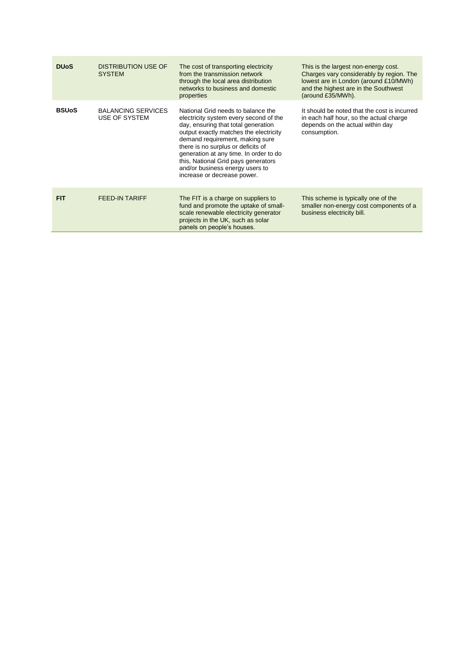| <b>DU<sub>o</sub>S</b> | <b>DISTRIBUTION USE OF</b><br><b>SYSTEM</b> | The cost of transporting electricity<br>from the transmission network<br>through the local area distribution<br>networks to business and domestic<br>properties                                                                                                                                                                                                                           | This is the largest non-energy cost.<br>Charges vary considerably by region. The<br>lowest are in London (around £10/MWh)<br>and the highest are in the Southwest<br>(around £35/MWh). |
|------------------------|---------------------------------------------|-------------------------------------------------------------------------------------------------------------------------------------------------------------------------------------------------------------------------------------------------------------------------------------------------------------------------------------------------------------------------------------------|----------------------------------------------------------------------------------------------------------------------------------------------------------------------------------------|
| <b>BSUoS</b>           | <b>BALANCING SERVICES</b><br>USE OF SYSTEM  | National Grid needs to balance the<br>electricity system every second of the<br>day, ensuring that total generation<br>output exactly matches the electricity<br>demand requirement, making sure<br>there is no surplus or deficits of<br>generation at any time. In order to do<br>this, National Grid pays generators<br>and/or business energy users to<br>increase or decrease power. | It should be noted that the cost is incurred<br>in each half hour, so the actual charge<br>depends on the actual within day<br>consumption.                                            |
| <b>FIT</b>             | <b>FEED-IN TARIFF</b>                       | The FIT is a charge on suppliers to<br>fund and promote the uptake of small-<br>scale renewable electricity generator<br>projects in the UK, such as solar<br>panels on people's houses.                                                                                                                                                                                                  | This scheme is typically one of the<br>smaller non-energy cost components of a<br>business electricity bill.                                                                           |